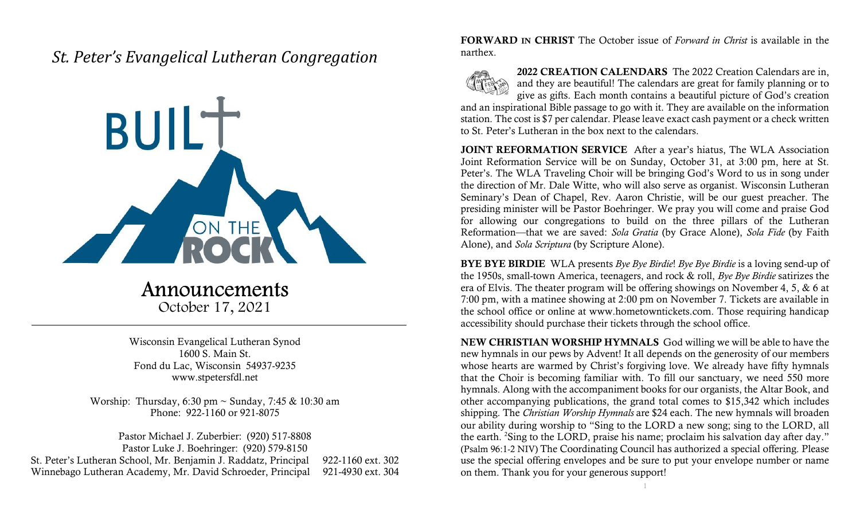## St. Peter's Evangelical Lutheran Congregation



Announcements October 17, 2021

Wisconsin Evangelical Lutheran Synod 1600 S. Main St. Fond du Lac, Wisconsin 54937-9235 www.stpetersfdl.net

Worship: Thursday, 6:30 pm ~ Sunday, 7:45 & 10:30 am Phone: 922-1160 or 921-8075

Pastor Michael J. Zuberbier: (920) 517-8808 Pastor Luke J. Boehringer: (920) 579-8150 St. Peter's Lutheran School, Mr. Benjamin J. Raddatz, Principal 922-1160 ext. 302 Winnebago Lutheran Academy, Mr. David Schroeder, Principal 921-4930 ext. 304 FORWARD IN CHRIST The October issue of Forward in Christ is available in the narthex.



2022 CREATION CALENDARS The 2022 Creation Calendars are in, and they are beautiful! The calendars are great for family planning or to give as gifts. Each month contains a beautiful picture of God's creation

and an inspirational Bible passage to go with it. They are available on the information station. The cost is \$7 per calendar. Please leave exact cash payment or a check written to St. Peter's Lutheran in the box next to the calendars.

JOINT REFORMATION SERVICE After a year's hiatus, The WLA Association Joint Reformation Service will be on Sunday, October 31, at 3:00 pm, here at St. Peter's. The WLA Traveling Choir will be bringing God's Word to us in song under the direction of Mr. Dale Witte, who will also serve as organist. Wisconsin Lutheran Seminary's Dean of Chapel, Rev. Aaron Christie, will be our guest preacher. The presiding minister will be Pastor Boehringer. We pray you will come and praise God for allowing our congregations to build on the three pillars of the Lutheran Reformation—that we are saved: Sola Gratia (by Grace Alone), Sola Fide (by Faith Alone), and Sola Scriptura (by Scripture Alone).

BYE BYE BIRDIE WLA presents Bye Bye Birdie! Bye Bye Birdie is a loving send-up of the 1950s, small-town America, teenagers, and rock & roll, Bye Bye Birdie satirizes the era of Elvis. The theater program will be offering showings on November 4, 5, & 6 at 7:00 pm, with a matinee showing at 2:00 pm on November 7. Tickets are available in the school office or online at www.hometowntickets.com. Those requiring handicap accessibility should purchase their tickets through the school office.

NEW CHRISTIAN WORSHIP HYMNALS God willing we will be able to have the new hymnals in our pews by Advent! It all depends on the generosity of our members whose hearts are warmed by Christ's forgiving love. We already have fifty hymnals that the Choir is becoming familiar with. To fill our sanctuary, we need 550 more hymnals. Along with the accompaniment books for our organists, the Altar Book, and other accompanying publications, the grand total comes to \$15,342 which includes shipping. The *Christian Worship Hymnals* are \$24 each. The new hymnals will broaden our ability during worship to "Sing to the LORD a new song; sing to the LORD, all the earth. <sup>2</sup>Sing to the LORD, praise his name; proclaim his salvation day after day." (Psalm 96:1-2 NIV) The Coordinating Council has authorized a special offering. Please use the special offering envelopes and be sure to put your envelope number or name on them. Thank you for your generous support!